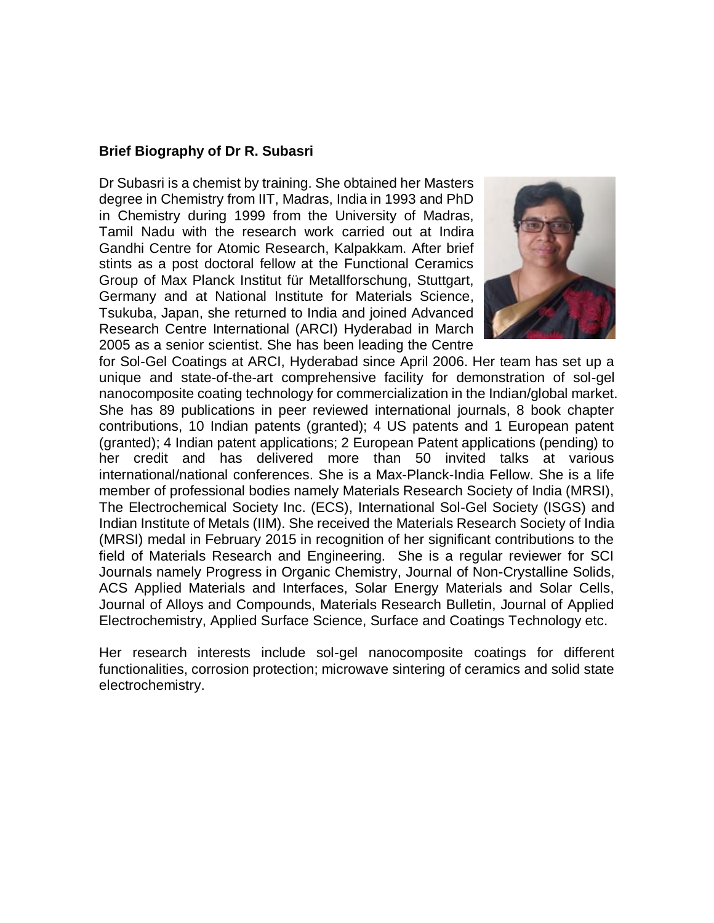### **Brief Biography of Dr R. Subasri**

Dr Subasri is a chemist by training. She obtained her Masters degree in Chemistry from IIT, Madras, India in 1993 and PhD in Chemistry during 1999 from the University of Madras, Tamil Nadu with the research work carried out at Indira Gandhi Centre for Atomic Research, Kalpakkam. After brief stints as a post doctoral fellow at the Functional Ceramics Group of Max Planck Institut für Metallforschung, Stuttgart, Germany and at National Institute for Materials Science, Tsukuba, Japan, she returned to India and joined Advanced Research Centre International (ARCI) Hyderabad in March 2005 as a senior scientist. She has been leading the Centre



for Sol-Gel Coatings at ARCI, Hyderabad since April 2006. Her team has set up a unique and state-of-the-art comprehensive facility for demonstration of sol-gel nanocomposite coating technology for commercialization in the Indian/global market. She has 89 publications in peer reviewed international journals, 8 book chapter contributions, 10 Indian patents (granted); 4 US patents and 1 European patent (granted); 4 Indian patent applications; 2 European Patent applications (pending) to her credit and has delivered more than 50 invited talks at various international/national conferences. She is a Max-Planck-India Fellow. She is a life member of professional bodies namely Materials Research Society of India (MRSI), The Electrochemical Society Inc. (ECS), International Sol-Gel Society (ISGS) and Indian Institute of Metals (IIM). She received the Materials Research Society of India (MRSI) medal in February 2015 in recognition of her significant contributions to the field of Materials Research and Engineering. She is a regular reviewer for SCI Journals namely Progress in Organic Chemistry, Journal of Non-Crystalline Solids, ACS Applied Materials and Interfaces, Solar Energy Materials and Solar Cells, Journal of Alloys and Compounds, Materials Research Bulletin, Journal of Applied Electrochemistry, Applied Surface Science, Surface and Coatings Technology etc.

Her research interests include sol-gel nanocomposite coatings for different functionalities, corrosion protection; microwave sintering of ceramics and solid state electrochemistry.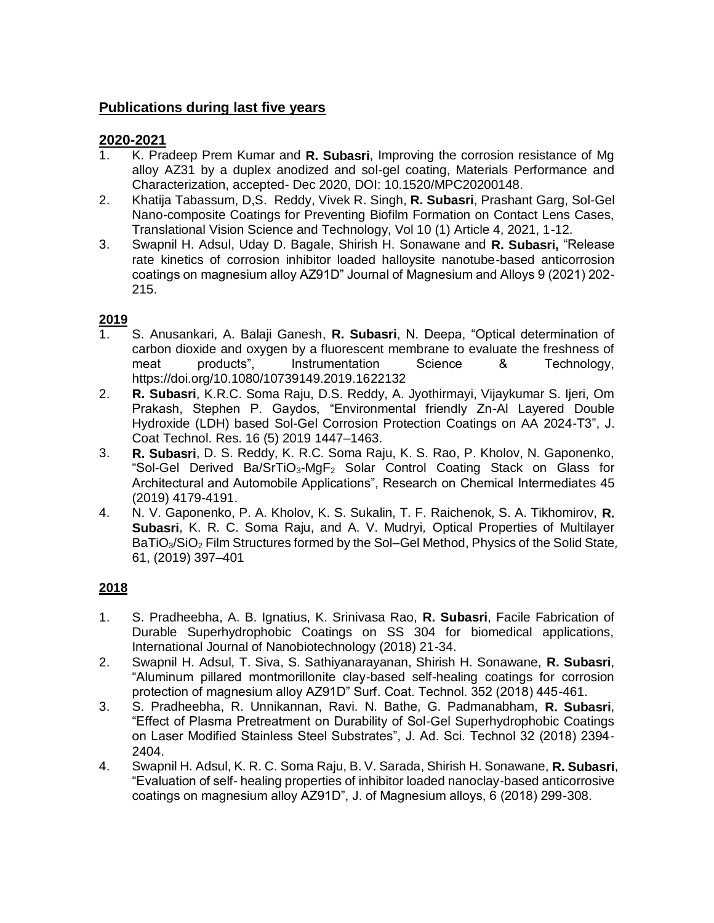# **Publications during last five years**

## **2020-2021**

- 1. K. Pradeep Prem Kumar and **R. Subasri**, Improving the corrosion resistance of Mg alloy AZ31 by a duplex anodized and sol-gel coating, Materials Performance and Characterization, accepted- Dec 2020, DOI: 10.1520/MPC20200148.
- 2. Khatija Tabassum, D,S. Reddy, Vivek R. Singh, **R. Subasri**, Prashant Garg, Sol-Gel Nano-composite Coatings for Preventing Biofilm Formation on Contact Lens Cases, Translational Vision Science and Technology, Vol 10 (1) Article 4, 2021, 1-12.
- 3. Swapnil H. Adsul, Uday D. Bagale, Shirish H. Sonawane and **R. Subasri,** "Release rate kinetics of corrosion inhibitor loaded halloysite nanotube-based anticorrosion coatings on magnesium alloy AZ91D" Journal of Magnesium and Alloys 9 (2021) 202- 215.

### **2019**

- 1. S. Anusankari, A. Balaji Ganesh, **R. Subasri**, N. Deepa, "Optical determination of carbon dioxide and oxygen by a fluorescent membrane to evaluate the freshness of<br>meat products", lnstrumentation Science & Technology, meat products", Instrumentation Science & Technology, https://doi.org/10.1080/10739149.2019.1622132
- 2. **R. Subasri**, K.R.C. Soma Raju, D.S. Reddy, A. Jyothirmayi, Vijaykumar S. Ijeri, Om Prakash, Stephen P. Gaydos, "Environmental friendly Zn-Al Layered Double Hydroxide (LDH) based Sol-Gel Corrosion Protection Coatings on AA 2024-T3", J. Coat Technol. Res. 16 (5) 2019 1447–1463.
- 3. **R. Subasri**, D. S. Reddy, K. R.C. Soma Raju, K. S. Rao, P. Kholov, N. Gaponenko, "Sol-Gel Derived Ba/SrTiO3-MgF<sup>2</sup> Solar Control Coating Stack on Glass for Architectural and Automobile Applications", Research on Chemical Intermediates 45 (2019) 4179-4191.
- 4. N. V. Gaponenko, P. A. Kholov, K. S. Sukalin, T. F. Raichenok, S. A. Tikhomirov, **R. Subasri**, K. R. C. Soma Raju, and A. V. Mudryi*,* Optical Properties of Multilayer BaTiO3/SiO<sup>2</sup> Film Structures formed by the Sol–Gel Method, Physics of the Solid State*,*  61, (2019) 397–401

# **2018**

- 1. S. Pradheebha, A. B. Ignatius, K. Srinivasa Rao, **R. Subasri**, Facile Fabrication of Durable Superhydrophobic Coatings on SS 304 for biomedical applications, International Journal of Nanobiotechnology (2018) 21-34.
- 2. Swapnil H. Adsul, T. Siva, S. Sathiyanarayanan, Shirish H. Sonawane, **R. Subasri**, "Aluminum pillared montmorillonite clay-based self-healing coatings for corrosion protection of magnesium alloy AZ91D" Surf. Coat. Technol. 352 (2018) 445-461.
- 3. S. Pradheebha, R. Unnikannan, Ravi. N. Bathe, G. Padmanabham, **R. Subasri**, "Effect of Plasma Pretreatment on Durability of Sol-Gel Superhydrophobic Coatings on Laser Modified Stainless Steel Substrates", J. Ad. Sci. Technol 32 (2018) 2394- 2404.
- 4. Swapnil H. Adsul, K. R. C. Soma Raju, B. V. Sarada, Shirish H. Sonawane, **R. Subasri**, "Evaluation of self- healing properties of inhibitor loaded nanoclay-based anticorrosive coatings on magnesium alloy AZ91D", J. of Magnesium alloys, 6 (2018) 299-308.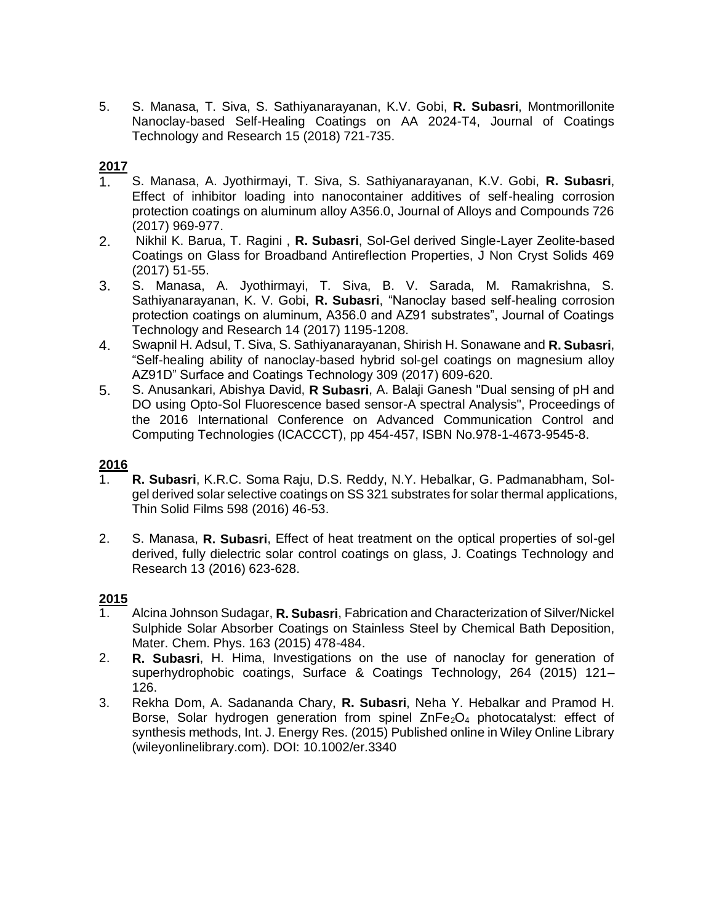5. S. Manasa, T. Siva, S. Sathiyanarayanan, K.V. Gobi, **R. Subasri**, Montmorillonite Nanoclay-based Self-Healing Coatings on AA 2024-T4, Journal of Coatings Technology and Research 15 (2018) 721-735.

## **2017**

- 1. S. Manasa, A. Jyothirmayi, T. Siva, S. Sathiyanarayanan, K.V. Gobi, **R. Subasri**, Effect of inhibitor loading into nanocontainer additives of self-healing corrosion protection coatings on aluminum alloy A356.0, Journal of Alloys and Compounds 726 (2017) 969-977.
- 2. Nikhil K. Barua, T. Ragini , **R. Subasri**, Sol-Gel derived Single-Layer Zeolite-based Coatings on Glass for Broadband Antireflection Properties, J Non Cryst Solids 469 (2017) 51-55.
- 3. S. Manasa, A. Jyothirmayi, T. Siva, B. V. Sarada, M. Ramakrishna, S. Sathiyanarayanan, K. V. Gobi, **R. Subasri**, "Nanoclay based self-healing corrosion protection coatings on aluminum, A356.0 and AZ91 substrates", Journal of Coatings Technology and Research 14 (2017) 1195-1208.
- 4. Swapnil H. Adsul, T. Siva, S. Sathiyanarayanan, Shirish H. Sonawane and **R. Subasri**, "Self-healing ability of nanoclay-based hybrid sol-gel coatings on magnesium alloy AZ91D" Surface and Coatings Technology 309 (2017) 609-620.
- 5. S. Anusankari, Abishya David, **R Subasri**, A. Balaji Ganesh "Dual sensing of pH and DO using Opto-Sol Fluorescence based sensor-A spectral Analysis", Proceedings of the 2016 International Conference on Advanced Communication Control and Computing Technologies (ICACCCT), pp 454-457, ISBN No.978-1-4673-9545-8.

#### **2016**

- 1. **R. Subasri**, K.R.C. Soma Raju, D.S. Reddy, N.Y. Hebalkar, G. Padmanabham, Solgel derived solar selective coatings on SS 321 substrates for solar thermal applications, Thin Solid Films 598 (2016) 46-53.
- 2. S. Manasa, **R. Subasri**, Effect of heat treatment on the optical properties of sol-gel derived, fully dielectric solar control coatings on glass, J. Coatings Technology and Research 13 (2016) 623-628.

#### **2015**

- 1. Alcina Johnson Sudagar, **R. Subasri**, Fabrication and Characterization of Silver/Nickel Sulphide Solar Absorber Coatings on Stainless Steel by Chemical Bath Deposition, Mater. Chem. Phys. 163 (2015) 478-484.
- 2. **R. Subasri**, H. Hima, Investigations on the use of nanoclay for generation of superhydrophobic coatings, Surface & Coatings Technology, 264 (2015) 121– 126.
- 3. Rekha Dom, A. Sadananda Chary, **R. Subasri**, Neha Y. Hebalkar and Pramod H. Borse, Solar hydrogen generation from spinel  $ZnFe<sub>2</sub>O<sub>4</sub>$  photocatalyst: effect of synthesis methods, Int. J. Energy Res. (2015) Published online in Wiley Online Library (wileyonlinelibrary.com). DOI: 10.1002/er.3340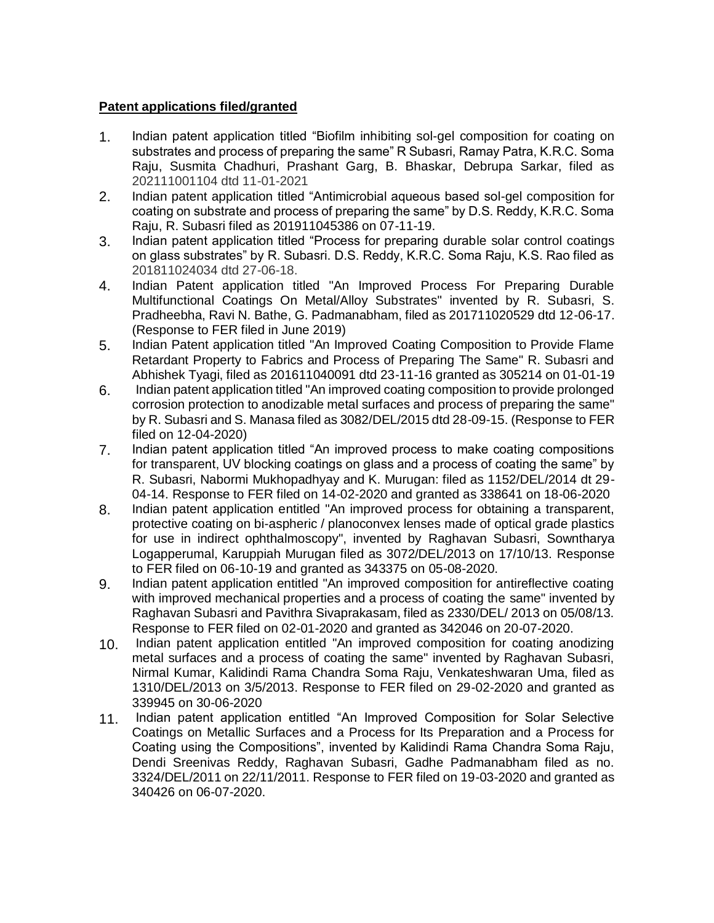### **Patent applications filed/granted**

- 1. Indian patent application titled "Biofilm inhibiting sol-gel composition for coating on substrates and process of preparing the same" R Subasri, Ramay Patra, K.R.C. Soma Raju, Susmita Chadhuri, Prashant Garg, B. Bhaskar, Debrupa Sarkar, filed as 202111001104 dtd 11-01-2021
- 2. Indian patent application titled "Antimicrobial aqueous based sol-gel composition for coating on substrate and process of preparing the same" by D.S. Reddy, K.R.C. Soma Raju, R. Subasri filed as 201911045386 on 07-11-19.
- 3. Indian patent application titled "Process for preparing durable solar control coatings on glass substrates" by R. Subasri. D.S. Reddy, K.R.C. Soma Raju, K.S. Rao filed as 201811024034 dtd 27-06-18.
- 4. Indian Patent application titled "An Improved Process For Preparing Durable Multifunctional Coatings On Metal/Alloy Substrates" invented by R. Subasri, S. Pradheebha, Ravi N. Bathe, G. Padmanabham, filed as 201711020529 dtd 12-06-17. (Response to FER filed in June 2019)
- 5. Indian Patent application titled "An Improved Coating Composition to Provide Flame Retardant Property to Fabrics and Process of Preparing The Same" R. Subasri and Abhishek Tyagi, filed as 201611040091 dtd 23-11-16 granted as 305214 on 01-01-19
- 6. Indian patent application titled "An improved coating composition to provide prolonged corrosion protection to anodizable metal surfaces and process of preparing the same" by R. Subasri and S. Manasa filed as 3082/DEL/2015 dtd 28-09-15. (Response to FER filed on 12-04-2020)
- 7. Indian patent application titled "An improved process to make coating compositions for transparent, UV blocking coatings on glass and a process of coating the same" by R. Subasri, Nabormi Mukhopadhyay and K. Murugan: filed as 1152/DEL/2014 dt 29- 04-14. Response to FER filed on 14-02-2020 and granted as 338641 on 18-06-2020
- 8. Indian patent application entitled "An improved process for obtaining a transparent, protective coating on bi-aspheric / planoconvex lenses made of optical grade plastics for use in indirect ophthalmoscopy", invented by Raghavan Subasri, Sowntharya Logapperumal, Karuppiah Murugan filed as 3072/DEL/2013 on 17/10/13. Response to FER filed on 06-10-19 and granted as 343375 on 05-08-2020.
- 9. Indian patent application entitled "An improved composition for antireflective coating with improved mechanical properties and a process of coating the same" invented by Raghavan Subasri and Pavithra Sivaprakasam, filed as 2330/DEL/ 2013 on 05/08/13. Response to FER filed on 02-01-2020 and granted as 342046 on 20-07-2020.
- 10. Indian patent application entitled "An improved composition for coating anodizing metal surfaces and a process of coating the same" invented by Raghavan Subasri, Nirmal Kumar, Kalidindi Rama Chandra Soma Raju, Venkateshwaran Uma, filed as 1310/DEL/2013 on 3/5/2013. Response to FER filed on 29-02-2020 and granted as 339945 on 30-06-2020
- 11. Indian patent application entitled "An Improved Composition for Solar Selective Coatings on Metallic Surfaces and a Process for Its Preparation and a Process for Coating using the Compositions", invented by Kalidindi Rama Chandra Soma Raju, Dendi Sreenivas Reddy, Raghavan Subasri, Gadhe Padmanabham filed as no. 3324/DEL/2011 on 22/11/2011. Response to FER filed on 19-03-2020 and granted as 340426 on 06-07-2020.